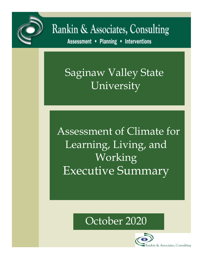

# Rankin & Associates, Consulting

Assessment . Planning . Interventions

## Saginaw Valley State University

Assessment of Climate for Learning, Living, and Working Executive Summary



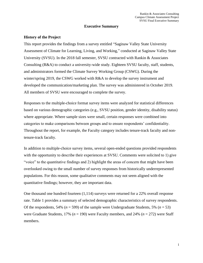#### **Executive Summary**

#### **History of the Project**

This report provides the findings from a survey entitled "Saginaw Valley State University Assessment of Climate for Learning, Living, and Working," conducted at Saginaw Valley State University (SVSU). In the 2018 fall semester, SVSU contracted with Rankin & Associates Consulting (R&A) to conduct a university-wide study. Eighteen SVSU faculty, staff, students, and administrators formed the Climate Survey Working Group (CSWG). During the winter/spring 2019, the CSWG worked with R&A to develop the survey instrument and developed the communication/marketing plan. The survey was administered in October 2019. All members of SVSU were encouraged to complete the survey.

Responses to the multiple-choice format survey items were analyzed for statistical differences based on various demographic categories (e.g., SVSU position, gender identity, disability status) where appropriate. Where sample sizes were small, certain responses were combined into categories to make comparisons between groups and to ensure respondents' confidentiality. Throughout the report, for example, the Faculty category includes tenure-track faculty and nontenure-track faculty.

In addition to multiple-choice survey items, several open-ended questions provided respondents with the opportunity to describe their experiences at SVSU. Comments were solicited to 1) give "voice" to the quantitative findings and 2) highlight the areas of concern that might have been overlooked owing to the small number of survey responses from historically underrepresented populations. For this reason, some qualitative comments may not seem aligned with the quantitative findings; however, they are important data.

One thousand one hundred fourteen (1,114) surveys were returned for a 22% overall response rate. [Table](#page-2-0) 1 provides a summary of selected demographic characteristics of survey respondents. Of the respondents, 54% ( $n = 599$ ) of the sample were Undergraduate Students, 5% ( $n = 53$ ) were Graduate Students, 17% (*n* = 190) were Faculty members, and 24% (*n* = 272) were Staff members.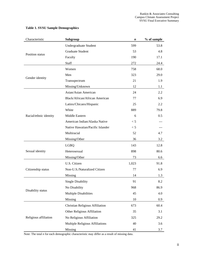| Characteristic         | Subgroup                         | n     | % of sample |
|------------------------|----------------------------------|-------|-------------|
| Position status        | <b>Undergraduate Student</b>     | 599   | 53.8        |
|                        | <b>Graduate Student</b>          | 53    | 4.8         |
|                        | Faculty                          | 190   | 17.1        |
|                        | Staff                            | 272   | 24.4        |
| Gender identity        | Women                            | 758   | 68.0        |
|                        | Men                              | 323   | 29.0        |
|                        | Transspectrum                    | 21    | 1.9         |
|                        | Missing/Unknown                  | 12    | 1.1         |
| Racial/ethnic identity | Asian/Asian American             | 24    | 2.2         |
|                        | Black/African/African American   | 77    | 6.9         |
|                        | Latinx/Chicanx/Hispanic          | 25    | 2.2         |
|                        | White                            | 889   | 79.8        |
|                        | Middle Eastern                   | 6     | 0.5         |
|                        | American Indian/Alaska Native    | < 5   |             |
|                        | Native Hawaiian/Pacific Islander | < 5   |             |
|                        | Multiracial                      | 52    | 4.7         |
|                        | Missing/Other                    | 36    | 3.2         |
| Sexual identity        | <b>LGBQ</b>                      | 143   | 12.8        |
|                        | Heterosexual                     | 898   | 80.6        |
|                        | Missing/Other                    | 73    | 6.6         |
| Citizenship status     | U.S. Citizen                     | 1,023 | 91.8        |
|                        | Non-U.S./Naturalized Citizen     | 77    | 6.9         |
|                        | Missing                          | 14    | 1.3         |
| Disability status      | <b>Single Disability</b>         | 91    | 8.2         |
|                        | No Disability                    | 968   | 86.9        |
|                        | <b>Multiple Disabilities</b>     | 45    | 4.0         |
|                        | Missing                          | 10    | 0.9         |
| Religious affiliation  | Christian Religious Affiliation  | 673   | 60.4        |
|                        | Other Religious Affiliation      | 35    | 3.1         |
|                        | No Religious Affiliation         | 325   | 29.2        |
|                        | Multiple Religious Affiliations  | 40    | 3.6         |
|                        | Missing                          | 41    | 3.7         |

#### <span id="page-2-0"></span>**Table 1. SVSU Sample Demographics**

Note: The total *n* for each demographic characteristic may differ as a result of missing data.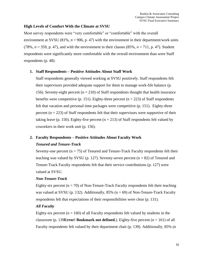#### **High Levels of Comfort With the Climate at SVSU**

Most survey respondents were "very comfortable" or "comfortable" with the overall environment at SVSU (81%,  $n = 906$ , p. 47) with the environment in their department/work units (78%,  $n = 359$ , p. 47), and with the environment in their classes (85%,  $n = 711$ , p. 47). Student respondents were significantly more comfortable with the overall environment than were Staff respondents (p. 48).

#### **1. Staff Respondents – Positive Attitudes About Staff Work**

Staff respondents generally viewed working at SVSU positively. Staff respondents felt their supervisors provided adequate support for them to manage work-life balance (p. 156). Seventy-eight percent ( $n = 210$ ) of Staff respondents thought that health insurance benefits were competitive (p. 151). Eighty-three percent ( $n = 223$ ) of Staff respondents felt that vacation and personal time packages were competitive (p. 151). Eighty-three percent ( $n = 223$ ) of Staff respondents felt that their supervisors were supportive of their taking leave (p. 150). Eighty-five percent ( $n = 213$ ) of Staff respondents felt valued by coworkers in their work unit (p. 156).

### **2. Faculty Respondents – Positive Attitudes About Faculty Work**

#### *Tenured and Tenure-Track*

Seventy-one percent ( $n = 75$ ) of Tenured and Tenure-Track Faculty respondents felt their teaching was valued by SVSU (p. 127). Seventy-seven percent ( $n = 82$ ) of Tenured and Tenure-Track Faculty respondents felt that their service contributions (p. 127) were valued at SVSU.

#### *Non-Tenure-Track*

Eighty-six percent ( $n = 70$ ) of Non-Tenure-Track Faculty respondents felt their teaching was valued at SVSU (p. 132). Additionally, 85% ( $n = 69$ ) of Non-Tenure-Track Faculty respondents felt that expectations of their responsibilities were clear (p. 131).

#### *All Faculty*

Eighty-six percent ( $n = 160$ ) of all Faculty respondents felt valued by students in the classroom (p. 139 $E$ **rror! Bookmark not defined.**). Eighty-five percent (n = 161) of all Faculty respondents felt valued by their department chair (p. 139). Additionally, 85% (n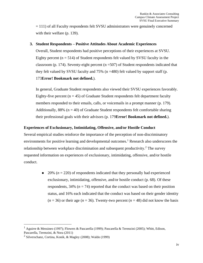= 111) of all Faculty respondents felt SVSU administrators were genuinely concerned with their welfare (p. 139).

#### **3. Student Respondents – Positive Attitudes About Academic Experiences**

Overall, Student respondents had positive perceptions of their experiences at SVSU. Eighty percent  $(n = 514)$  of Student respondents felt valued by SVSU faculty in the classroom (p. 174). Seventy-eight percent ( $n = 507$ ) of Student respondents indicated that they felt valued by SVSU faculty and  $75\%$  (n =480) felt valued by support staff (p. 173**Error! Bookmark not defined.**).

In general, Graduate Student respondents also viewed their SVSU experiences favorably. Eighty-five percent ( $n = 45$ ) of Graduate Student respondents felt department faculty members responded to their emails, calls, or voicemails in a prompt manner (p. 179). Additionally,  $88\%$  (n = 40) of Graduate Student respondents felt comfortable sharing their professional goals with their advisors (p. 179**Error! Bookmark not defined.**).

#### **Experiences of Exclusionary, Intimidating, Offensive, and/or Hostile Conduct**

Several empirical studies reinforce the importance of the perception of non-discriminatory environments for positive learning and developmental outcomes.<sup>1</sup> Research also underscores the relationship between workplace discrimination and subsequent productivity.<sup>2</sup> The survey requested information on experiences of exclusionary, intimidating, offensive, and/or hostile conduct.

> $\bullet$  20% ( $n = 220$ ) of respondents indicated that they personally had experienced exclusionary, intimidating, offensive, and/or hostile conduct (p. 68). Of these respondents,  $34\%$  ( $n = 74$ ) reported that the conduct was based on their position status, and 16% each indicated that the conduct was based on their gender identity  $(n = 36)$  or their age  $(n = 36)$ . Twenty-two percent  $(n = 48)$  did not know the basis

<sup>&</sup>lt;sup>1</sup> Aguirre & Messineo (1997); Flowers & Pascarella (1999); Pascarella & Terenzini (2005); Whitt, Edison, Pascarella, Terenzini, & Nora (2011)

<sup>2</sup> Silverschanz, Cortina, Konik, & Magley (2008); Waldo (1999)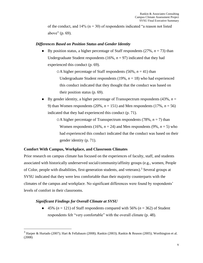of the conduct, and  $14\%$  (n = 30) of respondents indicated "a reason not listed above" (p. 69).

#### *Differences Based on Position Status and Gender Identity*

 $\bullet$  By position status, a higher percentage of Staff respondents (27%,  $n = 73$ ) than Undergraduate Student respondents  $(16\%, n = 97)$  indicated that they had experienced this conduct (p. 69).

> $\circ$ A higher percentage of Staff respondents (56%,  $n = 41$ ) than Undergraduate Student respondents  $(19\%, n = 18)$  who had experienced this conduct indicated that they thought that the conduct was based on their position status (p. 69).

• By gender identity, a higher percentage of Transspectrum respondents  $(43\%, n=$ 9) than Women respondents (20%,  $n = 151$ ) and Men respondents (17%,  $n = 56$ ) indicated that they had experienced this conduct (p. 71).

> $\circ$ A higher percentage of Transspectrum respondents (78%, *n* = 7) than Women respondents (16%,  $n = 24$ ) and Men respondents (9%,  $n = 5$ ) who had experienced this conduct indicated that the conduct was based on their gender identity (p. 71).

#### **Comfort With Campus, Workplace, and Classroom Climates**

Prior research on campus climate has focused on the experiences of faculty, staff, and students associated with historically underserved social/community/affinity groups (e.g., women, People of Color, people with disabilities, first-generation students, and veterans).<sup>3</sup> Several groups at SVSU indicated that they were less comfortable than their majority counterparts with the climates of the campus and workplace. No significant differences were found by respondents' levels of comfort in their classrooms.

#### *Significant Findings for Overall Climate at SVSU*

 $\bullet$  45% ( $n = 121$ ) of Staff respondents compared with 56% ( $n = 362$ ) of Student respondents felt "very comfortable" with the overall climate (p. 48).

 $3$  Harper & Hurtado (2007); Hart & Fellabaum (2008); Rankin (2003); Rankin & Reason (2005); Worthington et al. (2008)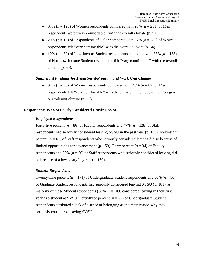- $\bullet$  37% ( $n = 120$ ) of Women respondents compared with 28% ( $n = 211$ ) of Men respondents were "very comfortable" with the overall climate (p. 51).
- $\bullet$  20% ( $n = 19$ ) of Respondents of Color compared with 32% ( $n = 283$ ) of White respondents felt "very comfortable" with the overall climate (p. 54).
- $\bullet$  19% ( $n = 30$ ) of Low-Income Student respondents compared with 33% ( $n = 158$ ) of Not-Low-Income Student respondents felt "very comfortable" with the overall climate (p. 60).

#### *Significant Findings for Department/Program and Work Unit Climate*

 $\bullet$  34% ( $n = 90$ ) of Women respondents compared with 45% ( $n = 82$ ) of Men respondents felt "very comfortable" with the climate in their department/program or work unit climate (p. 52).

#### **Respondents Who Seriously Considered Leaving SVSU**

#### *Employee Respondents*

Forty-five percent ( $n = 86$ ) of Faculty respondents and 47% ( $n = 128$ ) of Staff respondents had seriously considered leaving SVSU in the past year (p. 159). Forty-eight percent  $(n = 61)$  of Staff respondents who seriously considered leaving did so because of limited opportunities for advancement (p. 159). Forty percent  $(n = 34)$  of Faculty respondents and 52% ( $n = 66$ ) of Staff respondents who seriously considered leaving did so because of a low salary/pay rate (p. 160).

#### *Student Respondents*

Twenty-nine percent  $(n = 171)$  of Undergraduate Student respondents and 30%  $(n = 16)$ of Graduate Student respondents had seriously considered leaving SVSU (p. 181). A majority of those Student respondents  $(58\%, n = 109)$  considered leaving in their first year as a student at SVSU. Forty-three percent  $(n = 72)$  of Undergraduate Student respondents attributed a lack of a sense of belonging as the main reason why they seriously considered leaving SVSU.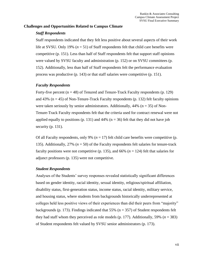#### **Challenges and Opportunities Related to Campus Climate**

#### *Staff Respondents*

Staff respondents indicated that they felt less positive about several aspects of their work life at SVSU. Only 19% (*n* = 51) of Staff respondents felt that child care benefits were competitive (p. 151). Less than half of Staff respondents felt that support staff opinions were valued by SVSU faculty and administration (p. 152) or on SVSU committees (p. 152). Additionally, less than half of Staff respondents felt the performance evaluation process was productive (p. 143) or that staff salaries were competitive (p. 151).

#### *Faculty Respondents*

Forty-five percent  $(n = 48)$  of Tenured and Tenure-Track Faculty respondents (p. 129) and  $43\%$  (n = 45) of Non-Tenure-Track Faculty respondents (p. 132) felt faculty opinions were taken seriously by senior administrators. Additionally,  $44\%$  (n = 35) of Non-Tenure-Track Faculty respondents felt that the criteria used for contract renewal were not applied equally to positions (p. 131) and 44% ( $n = 36$ ) felt that they did not have job security (p. 131).

Of all Faculty respondents, only 9%  $(n = 17)$  felt child care benefits were competitive (p. 135). Additionally, 27% (*n* = 50) of the Faculty respondents felt salaries for tenure-track faculty positions were not competitive (p. 135), and 66% ( $n = 124$ ) felt that salaries for adjunct professors (p. 135) were not competitive.

#### *Student Respondents*

Analyses of the Students' survey responses revealed statistically significant differences based on gender identity, racial identity, sexual identity, religious/spiritual affiliation, disability status, first-generation status, income status, racial identity, military service, and housing status, where students from backgrounds historically underrepresented at colleges held less positive views of their experiences than did their peers from "majority" backgrounds (p. 173). Findings indicated that 55% ( $n = 357$ ) of Student respondents felt they had staff whom they perceived as role models (p. 177). Additionally, 59% (*n* = 383) of Student respondents felt valued by SVSU senior administrators (p. 173).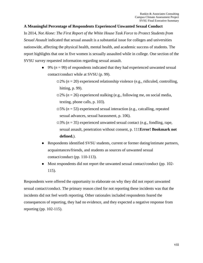#### **A Meaningful Percentage of Respondents Experienced Unwanted Sexual Conduct**

In 2014, *Not Alone: The First Report of the White House Task Force to Protect Students from Sexual Assault* indicated that sexual assault is a substantial issue for colleges and universities nationwide, affecting the physical health, mental health, and academic success of students. The report highlights that one in five women is sexually assaulted while in college. One section of the SVSU survey requested information regarding sexual assault.

- $\bullet$  9% ( $n = 99$ ) of respondents indicated that they had experienced unwanted sexual contact/conduct while at SVSU (p. 99).
	- 2% (*n* = 20) experienced relationship violence (e.g., ridiculed, controlling, hitting, p. 99).
	- $\Omega$ <sup>2</sup>% (*n* = 26) experienced stalking (e.g., following me, on social media, texting, phone calls, p. 103).
	- 5% (*n* = 53) experienced sexual interaction (e.g., catcalling, repeated sexual advances, sexual harassment, p. 106).
	- 3% (*n* = 35) experienced unwanted sexual contact (e.g., fondling, rape, sexual assault, penetration without consent, p. 111**Error! Bookmark not defined.**).
- ⚫ Respondents identified SVSU students, current or former dating/intimate partners, acquaintances/friends, and students as sources of unwanted sexual contact/conduct (pp. 110-113).
- ⚫ Most respondents did not report the unwanted sexual contact/conduct (pp. 102- 115).

Respondents were offered the opportunity to elaborate on why they did not report unwanted sexual contact/conduct. The primary reason cited for not reporting these incidents was that the incidents did not feel worth reporting. Other rationales included respondents feared the consequences of reporting, they had no evidence, and they expected a negative response from reporting (pp. 102-115).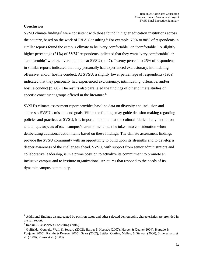#### **Conclusion**

SVSU climate findings<sup>4</sup> were consistent with those found in higher education institutions across the country, based on the work of R&A Consulting.<sup>5</sup> For example, 70% to 80% of respondents in similar reports found the campus climate to be "very comfortable" or "comfortable." A slightly higher percentage (81%) of SVSU respondents indicated that they were "very comfortable" or "comfortable" with the overall climate at SVSU (p. 47). Twenty percent to 25% of respondents in similar reports indicated that they personally had experienced exclusionary, intimidating, offensive, and/or hostile conduct. At SVSU, a slightly lower percentage of respondents (19%) indicated that they personally had experienced exclusionary, intimidating, offensive, and/or hostile conduct (p. 68). The results also paralleled the findings of other climate studies of specific constituent groups offered in the literature.<sup>6</sup>

SVSU's climate assessment report provides baseline data on diversity and inclusion and addresses SVSU's mission and goals. While the findings may guide decision making regarding policies and practices at SVSU, it is important to note that the cultural fabric of any institution and unique aspects of each campus's environment must be taken into consideration when deliberating additional action items based on these findings. The climate assessment findings provide the SVSU community with an opportunity to build upon its strengths and to develop a deeper awareness of the challenges ahead. SVSU, with support from senior administrators and collaborative leadership, is in a prime position to actualize its commitment to promote an inclusive campus and to institute organizational structures that respond to the needs of its dynamic campus community.

<sup>&</sup>lt;sup>4</sup> Additional findings disaggregated by position status and other selected demographic characteristics are provided in the full report.

<sup>5</sup> Rankin & Associates Consulting (2016).

<sup>&</sup>lt;sup>6</sup> Guiffrida, Gouveia, Wall, & Seward (2002); Harper & Hurtado (2007); Harper & Quaye (2004); Hurtado & Ponjuan (2005); Rankin & Reason (2005); Sears (2002); Settles, Cortina, Malley, & Stewart (2006); Silverschanz et al. (2008); Yosso et al. (2009).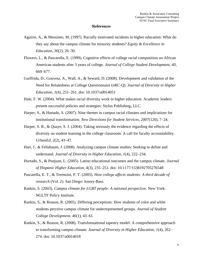#### **References**

- Aguirre, A., & Messineo, M. (1997). Racially motivated incidents in higher education: What do they say about the campus climate for minority students? *Equity & Excellence in Education, 30*(2), 26–30.
- Flowers, L., & Pascarella, E. (1999). Cognitive effects of college racial composition on African American students after 3 years of college. *Journal of College Student Development, 40*, 669–677.
- Guiffrida, D., Gouveia, A., Wall, A., & Seward, D. (2008). Development and validation of the Need for Relatedness at College Questionnaire (*n*RC-Q). *Journal of Diversity in Higher Education, 1*(4), 251–261. doi: 10.1037/a0014051
- Hale, F. W. (2004). What makes racial diversity work in higher education: Academic leaders present successful policies and strategies: Stylus Publishing, LLC.
- Harper, S., & Hurtado, S. (2007). Nine themes in campus racial climates and implications for institutional transformation. *New Directions for Student Services*, *2007*(120), 7–24.
- Harper, S. R., & Quaye, S. J. (2004). Taking seriously the evidence regarding the effects of diversity on student learning in the college classroom: A call for faculty accountability. *UrbanEd, 2*(2), 43–47.
- Hart, J., & Fellabaum, J. (2008). Analyzing campus climate studies: Seeking to define and understand. *Journal of Diversity in Higher Education, 1*(4), 222–234.
- Hurtado, S., & Ponjuan, L. (2005). Latino educational outcomes and the campus climate. *Journal of Hispanic Higher Education, 4*(3), 235–251. doi: 10.1177/1538192705276548
- Pascarella, E. T., & Terenzini, P. T. (2005). *How college affects students: A third decade of research* (Vol. 2). San Diego: Jossey-Bass.
- Rankin, S. (2003). *Campus climate for LGBT people: A national perspective.* New York: NGLTF Policy Institute.
- Rankin, S., & Reason, R. (2005). Differing perceptions: How students of color and white students perceive campus climate for underrepresented groups. *Journal of Student College Development, 46*(1), 43–61*.*
- Rankin, S., & Reason, R. (2008). Transformational tapestry model: A comprehensive approach to transforming campus climate. *Journal of Diversity in Higher Education, 1*(4), 262– 274. doi: 10.1037/a0014018